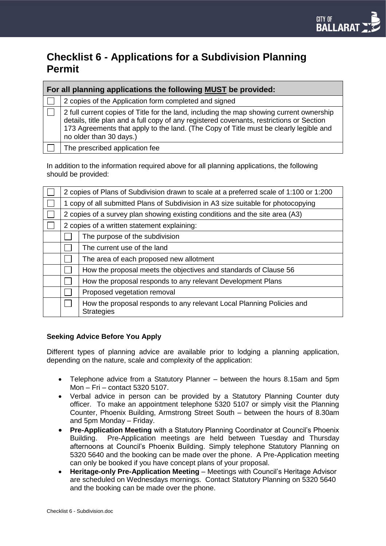# **Checklist 6 - Applications for a Subdivision Planning Permit**

| For all planning applications the following MUST be provided: |                                                                                                                                                                                                                                                                                                          |  |  |
|---------------------------------------------------------------|----------------------------------------------------------------------------------------------------------------------------------------------------------------------------------------------------------------------------------------------------------------------------------------------------------|--|--|
|                                                               | 2 copies of the Application form completed and signed                                                                                                                                                                                                                                                    |  |  |
|                                                               | 2 full current copies of Title for the land, including the map showing current ownership<br>details, title plan and a full copy of any registered covenants, restrictions or Section<br>173 Agreements that apply to the land. (The Copy of Title must be clearly legible and<br>no older than 30 days.) |  |  |
|                                                               | The prescribed application fee                                                                                                                                                                                                                                                                           |  |  |

In addition to the information required above for all planning applications, the following should be provided:

| 2 copies of Plans of Subdivision drawn to scale at a preferred scale of 1:100 or 1:200 |                                                                                            |  |
|----------------------------------------------------------------------------------------|--------------------------------------------------------------------------------------------|--|
| 1 copy of all submitted Plans of Subdivision in A3 size suitable for photocopying      |                                                                                            |  |
| 2 copies of a survey plan showing existing conditions and the site area (A3)           |                                                                                            |  |
| 2 copies of a written statement explaining:                                            |                                                                                            |  |
|                                                                                        | The purpose of the subdivision                                                             |  |
|                                                                                        | The current use of the land                                                                |  |
|                                                                                        | The area of each proposed new allotment                                                    |  |
|                                                                                        | How the proposal meets the objectives and standards of Clause 56                           |  |
|                                                                                        | How the proposal responds to any relevant Development Plans                                |  |
|                                                                                        | Proposed vegetation removal                                                                |  |
|                                                                                        | How the proposal responds to any relevant Local Planning Policies and<br><b>Strategies</b> |  |

## **Seeking Advice Before You Apply**

Different types of planning advice are available prior to lodging a planning application, depending on the nature, scale and complexity of the application:

- Telephone advice from a Statutory Planner between the hours 8.15am and 5pm Mon – Fri – contact 5320 5107.
- Verbal advice in person can be provided by a Statutory Planning Counter duty officer. To make an appointment telephone 5320 5107 or simply visit the Planning Counter, Phoenix Building, Armstrong Street South – between the hours of 8.30am and 5pm Monday – Friday.
- **Pre-Application Meeting** with a Statutory Planning Coordinator at Council's Phoenix Building. Pre-Application meetings are held between Tuesday and Thursday afternoons at Council's Phoenix Building. Simply telephone Statutory Planning on 5320 5640 and the booking can be made over the phone. A Pre-Application meeting can only be booked if you have concept plans of your proposal.
- **Heritage-only Pre-Application Meeting**  Meetings with Council's Heritage Advisor are scheduled on Wednesdays mornings.Contact Statutory Planning on 5320 5640 and the booking can be made over the phone.